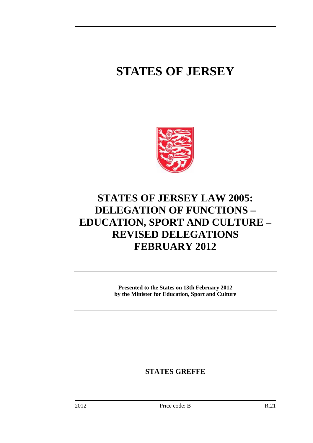# **STATES OF JERSEY**



## **STATES OF JERSEY LAW 2005: DELEGATION OF FUNCTIONS – EDUCATION, SPORT AND CULTURE – REVISED DELEGATIONS FEBRUARY 2012**

**Presented to the States on 13th February 2012 by the Minister for Education, Sport and Culture** 

**STATES GREFFE**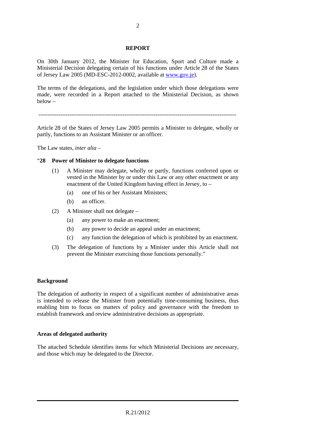#### **REPORT**

On 30th January 2012, the Minister for Education, Sport and Culture made a Ministerial Decision delegating certain of his functions under Article 28 of the States of Jersey Law 2005 (MD-ESC-2012-0002, available at www.gov.je).

The terms of the delegations, and the legislation under which those delegations were made, were recorded in a Report attached to the Ministerial Decision, as shown below –

------------------------------------------------------------------------------------------------------------

Article 28 of the States of Jersey Law 2005 permits a Minister to delegate, wholly or partly, functions to an Assistant Minister or an officer.

The Law states, *inter alia* –

#### "**28 Power of Minister to delegate functions**

- (1) A Minister may delegate, wholly or partly, functions conferred upon or vested in the Minister by or under this Law or any other enactment or any enactment of the United Kingdom having effect in Jersey, to –
	- (a) one of his or her Assistant Ministers;
	- (b) an officer.
- (2) A Minister shall not delegate
	- (a) any power to make an enactment;
	- (b) any power to decide an appeal under an enactment;
	- (c) any function the delegation of which is prohibited by an enactment.
- (3) The delegation of functions by a Minister under this Article shall not prevent the Minister exercising those functions personally."

#### **Background**

The delegation of authority in respect of a significant number of administrative areas is intended to release the Minister from potentially time-consuming business, thus enabling him to focus on matters of policy and governance with the freedom to establish framework and review administrative decisions as appropriate.

#### **Areas of delegated authority**

The attached Schedule identifies items for which Ministerial Decisions are necessary, and those which may be delegated to the Director.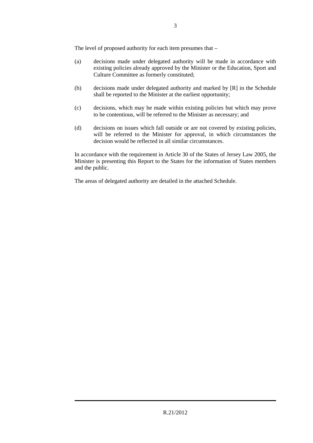The level of proposed authority for each item presumes that –

- (a) decisions made under delegated authority will be made in accordance with existing policies already approved by the Minister or the Education, Sport and Culture Committee as formerly constituted;
- (b) decisions made under delegated authority and marked by [R] in the Schedule shall be reported to the Minister at the earliest opportunity;
- (c) decisions, which may be made within existing policies but which may prove to be contentious, will be referred to the Minister as necessary; and
- (d) decisions on issues which fall outside or are not covered by existing policies, will be referred to the Minister for approval, in which circumstances the decision would be reflected in all similar circumstances.

In accordance with the requirement in Article 30 of the States of Jersey Law 2005, the Minister is presenting this Report to the States for the information of States members and the public.

The areas of delegated authority are detailed in the attached Schedule.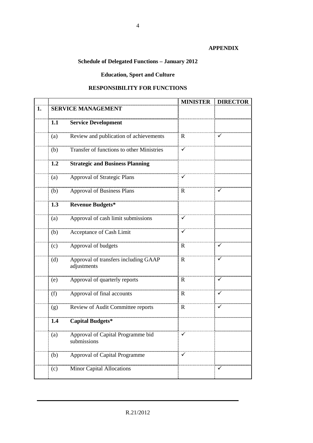#### **APPENDIX**

## **Schedule of Delegated Functions – January 2012**

## **Education, Sport and Culture**

### **RESPONSIBILITY FOR FUNCTIONS**

|    |                           |                                                     | <b>MINISTER</b> | <b>DIRECTOR</b> |
|----|---------------------------|-----------------------------------------------------|-----------------|-----------------|
| 1. | <b>SERVICE MANAGEMENT</b> |                                                     |                 |                 |
|    | 1.1                       | <b>Service Development</b>                          |                 |                 |
|    |                           |                                                     |                 |                 |
|    | (a)                       | Review and publication of achievements              | $\mathbb{R}$    |                 |
|    | (b)                       | Transfer of functions to other Ministries           | ✓               |                 |
|    | 1.2                       | <b>Strategic and Business Planning</b>              |                 |                 |
|    | (a)                       | <b>Approval of Strategic Plans</b>                  |                 |                 |
|    | (b)                       | <b>Approval of Business Plans</b>                   | $\mathbf R$     |                 |
|    | 1.3                       | <b>Revenue Budgets*</b>                             |                 |                 |
|    | (a)                       | Approval of cash limit submissions                  | $\checkmark$    |                 |
|    | (b)                       | Acceptance of Cash Limit                            | ✓               |                 |
|    | (c)                       | Approval of budgets                                 | $\mathbf R$     |                 |
|    | (d)                       | Approval of transfers including GAAP<br>adjustments | R               |                 |
|    | (e)                       | Approval of quarterly reports                       | R               | ✓               |
|    | (f)                       | Approval of final accounts                          | $\mathbf R$     | $\checkmark$    |
|    | (g)                       | Review of Audit Committee reports                   | $\mathbb{R}$    | ✓               |
|    | 1.4                       | <b>Capital Budgets*</b>                             |                 |                 |
|    | $\left( a\right)$         | Approval of Capital Programme bid<br>submissions    |                 |                 |
|    | (b)                       | Approval of Capital Programme                       |                 |                 |
|    | (c)                       | Minor Capital Allocations                           |                 |                 |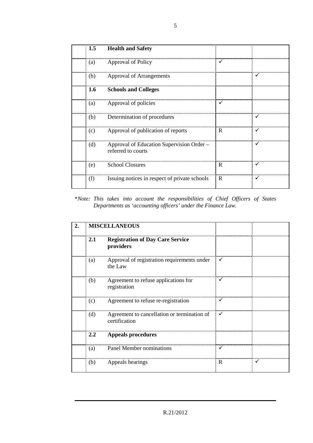|     | 1.5 Health and Safety                                           |    |   |
|-----|-----------------------------------------------------------------|----|---|
|     | (a) Approval of Policy                                          |    |   |
| (b) | Approval of Arrangements                                        |    |   |
|     | 1.6 Schools and Colleges                                        |    |   |
| (a) | Approval of policies                                            |    |   |
|     | (b) Determination of procedures                                 |    |   |
| (c) | Approval of publication of reports                              | R  |   |
| (d) | Approval of Education Supervision Order –<br>referred to courts |    |   |
| (e) | <b>School Closures</b>                                          | R  |   |
| (f) | Issuing notices in respect of private schools                   | ∴R | v |

\**Note: This takes into account the responsibilities of Chief Officers of States Departments as 'accounting officers' under the Finance Law.* 

|  | <b>MISCELLANEOUS</b> |                                                              |              |  |
|--|----------------------|--------------------------------------------------------------|--------------|--|
|  | <b>2.1</b>           | <b>Registration of Day Care Service</b><br>providers         |              |  |
|  | (a)                  | Approval of registration requirements under<br>the Law       |              |  |
|  | (b)                  | Agreement to refuse applications for<br>registration         |              |  |
|  | (c)                  | Agreement to refuse re-registration                          |              |  |
|  | (d)                  | Agreement to cancellation or termination of<br>certification | $\checkmark$ |  |
|  | $2.2^{\circ}$        | Appeals procedures                                           |              |  |
|  | (a)                  | Panel Member nominations                                     |              |  |
|  | (b)                  | Appeals hearings                                             | R            |  |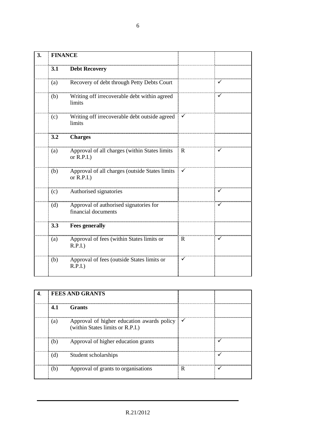| 3. | <b>FINANCE</b> |                                                                      |              |   |
|----|----------------|----------------------------------------------------------------------|--------------|---|
|    | 3.1            | <b>Debt Recovery</b>                                                 |              |   |
|    | (a)            | Recovery of debt through Petty Debts Court                           |              |   |
|    | (b)            | Writing off irrecoverable debt within agreed<br>limits               |              |   |
|    | (c)            | Writing off irrecoverable debt outside agreed $\mathbb{V}$<br>limits |              |   |
|    | 3.2            | <b>Charges</b>                                                       |              |   |
|    | (a)            | Approval of all charges (within States limits<br>or $R.P.I.$ )       | R            |   |
|    | (b)            | Approval of all charges (outside States limits<br>or $R.P.I.$ )      | $\checkmark$ |   |
|    | (c)            | Authorised signatories                                               |              | ✓ |
|    | (d)            | Approval of authorised signatories for<br>financial documents        |              |   |
|    | 3.3            | <b>Fees generally</b>                                                |              |   |
|    | (a)            | Approval of fees (within States limits or<br>$R.P.I.$ )              | $\mathbf R$  |   |
|    | (b)            | Approval of fees (outside States limits or<br>$R.P.I.$ )             | ✓            |   |

|     | <b>FEES AND GRANTS</b>                                                                      |   |  |
|-----|---------------------------------------------------------------------------------------------|---|--|
| 4.1 | <b>Grants</b>                                                                               |   |  |
| (a) | Approval of higher education awards policy $\checkmark$<br>(within States limits or R.P.I.) |   |  |
| (b) | Approval of higher education grants                                                         |   |  |
| (d) | Student scholarships                                                                        |   |  |
|     | Approval of grants to organisations                                                         | R |  |